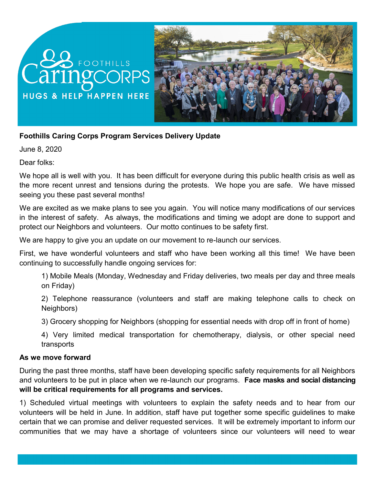# FOOTHILLS ringco **HUGS & HELP HAPPEN HERE**



# **Foothills Caring Corps Program Services Delivery Update**

June 8, 2020

Dear folks:

We hope all is well with you. It has been difficult for everyone during this public health crisis as well as the more recent unrest and tensions during the protests. We hope you are safe. We have missed seeing you these past several months!

We are excited as we make plans to see you again. You will notice many modifications of our services in the interest of safety. As always, the modifications and timing we adopt are done to support and protect our Neighbors and volunteers. Our motto continues to be safety first.

We are happy to give you an update on our movement to re-launch our services.

First, we have wonderful volunteers and staff who have been working all this time! We have been continuing to successfully handle ongoing services for:

1) Mobile Meals (Monday, Wednesday and Friday deliveries, two meals per day and three meals on Friday)

2) Telephone reassurance (volunteers and staff are making telephone calls to check on Neighbors)

3) Grocery shopping for Neighbors (shopping for essential needs with drop off in front of home)

4) Very limited medical transportation for chemotherapy, dialysis, or other special need transports

### **As we move forward**

During the past three months, staff have been developing specific safety requirements for all Neighbors and volunteers to be put in place when we re-launch our programs. **Face masks and social distancing will be critical requirements for all programs and services.**

1) Scheduled virtual meetings with volunteers to explain the safety needs and to hear from our volunteers will be held in June. In addition, staff have put together some specific guidelines to make certain that we can promise and deliver requested services. It will be extremely important to inform our communities that we may have a shortage of volunteers since our volunteers will need to wear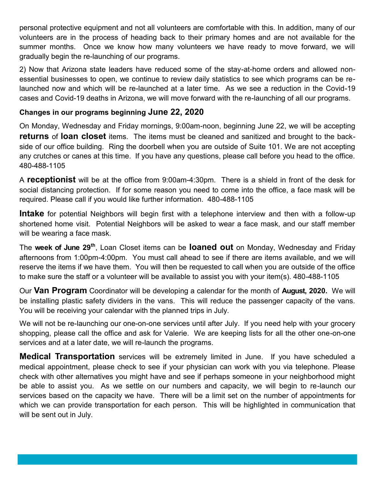personal protective equipment and not all volunteers are comfortable with this. In addition, many of our volunteers are in the process of heading back to their primary homes and are not available for the summer months. Once we know how many volunteers we have ready to move forward, we will gradually begin the re-launching of our programs.

2) Now that Arizona state leaders have reduced some of the stay-at-home orders and allowed nonessential businesses to open, we continue to review daily statistics to see which programs can be relaunched now and which will be re-launched at a later time. As we see a reduction in the Covid-19 cases and Covid-19 deaths in Arizona, we will move forward with the re-launching of all our programs.

## **Changes in our programs beginning June 22, 2020**

On Monday, Wednesday and Friday mornings, 9:00am-noon, beginning June 22, we will be accepting **returns** of **loan closet** items. The items must be cleaned and sanitized and brought to the backside of our office building. Ring the doorbell when you are outside of Suite 101. We are not accepting any crutches or canes at this time. If you have any questions, please call before you head to the office. 480-488-1105

A **receptionist** will be at the office from 9:00am-4:30pm. There is a shield in front of the desk for social distancing protection. If for some reason you need to come into the office, a face mask will be required. Please call if you would like further information. 480-488-1105

**Intake** for potential Neighbors will begin first with a telephone interview and then with a follow-up shortened home visit. Potential Neighbors will be asked to wear a face mask, and our staff member will be wearing a face mask.

The **week of June 29th**, Loan Closet items can be **loaned out** on Monday, Wednesday and Friday afternoons from 1:00pm-4:00pm. You must call ahead to see if there are items available, and we will reserve the items if we have them. You will then be requested to call when you are outside of the office to make sure the staff or a volunteer will be available to assist you with your item(s). 480-488-1105

Our **Van Program** Coordinator will be developing a calendar for the month of **August, 2020.** We will be installing plastic safety dividers in the vans. This will reduce the passenger capacity of the vans. You will be receiving your calendar with the planned trips in July.

We will not be re-launching our one-on-one services until after July. If you need help with your grocery shopping, please call the office and ask for Valerie. We are keeping lists for all the other one-on-one services and at a later date, we will re-launch the programs.

**Medical Transportation** services will be extremely limited in June. If you have scheduled a medical appointment, please check to see if your physician can work with you via telephone. Please check with other alternatives you might have and see if perhaps someone in your neighborhood might be able to assist you. As we settle on our numbers and capacity, we will begin to re-launch our services based on the capacity we have. There will be a limit set on the number of appointments for which we can provide transportation for each person. This will be highlighted in communication that will be sent out in July.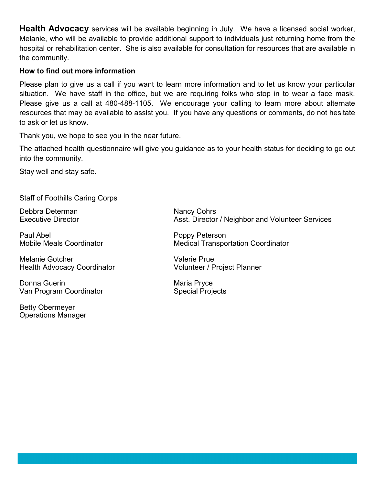**Health Advocacy** services will be available beginning in July. We have a licensed social worker, Melanie, who will be available to provide additional support to individuals just returning home from the hospital or rehabilitation center. She is also available for consultation for resources that are available in the community.

## **How to find out more information**

Please plan to give us a call if you want to learn more information and to let us know your particular situation. We have staff in the office, but we are requiring folks who stop in to wear a face mask. Please give us a call at 480-488-1105. We encourage your calling to learn more about alternate resources that may be available to assist you. If you have any questions or comments, do not hesitate to ask or let us know.

Thank you, we hope to see you in the near future.

The attached health questionnaire will give you guidance as to your health status for deciding to go out into the community.

Stay well and stay safe.

Staff of Foothills Caring Corps

Debbra Determan Nancy Cohrs

Paul Abel **Poppy Peterson** 

Melanie Gotcher<br>
Health Advocacy Coordinator<br>
Volunteer / Project Planner Health Advocacy Coordinator

Donna Guerin **Maria Pryce** Maria Pryce Van Program Coordinator **Special Projects** Special Projects

Betty Obermeyer Operations Manager

Executive Director **Asst. Director / Neighbor and Volunteer Services** 

Mobile Meals Coordinator Medical Transportation Coordinator